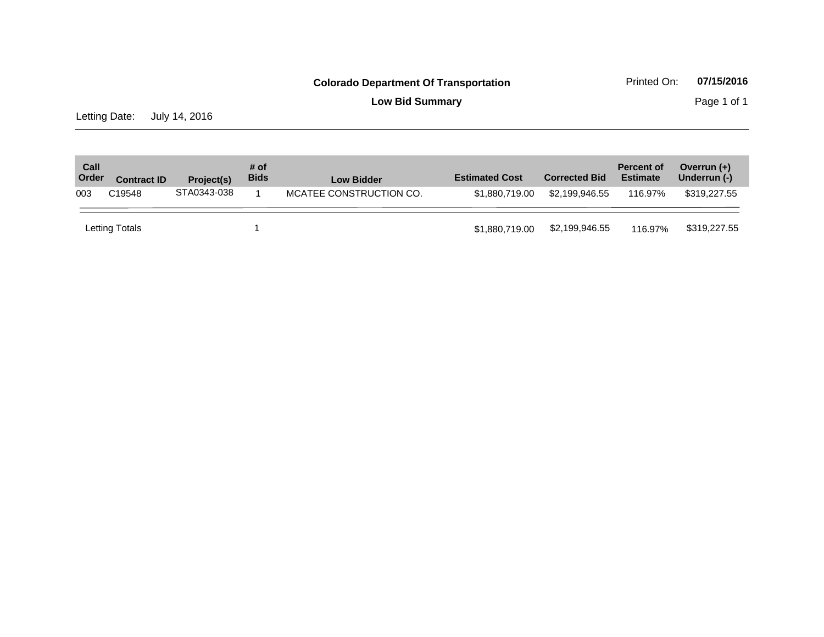**Low Bid Summary** Page 1 of 1

Letting Date: July 14, 2016

| Call<br>Order | <b>Contract ID</b> | Project(s)  | # of<br><b>Bids</b> | <b>Low Bidder</b>       | <b>Estimated Cost</b> | <b>Corrected Bid</b> | <b>Percent of</b><br><b>Estimate</b> | Overrun $(+)$<br>Underrun (-) |
|---------------|--------------------|-------------|---------------------|-------------------------|-----------------------|----------------------|--------------------------------------|-------------------------------|
| 003           | C19548             | STA0343-038 |                     | MCATEE CONSTRUCTION CO. | \$1,880,719,00        | \$2.199.946.55       | 116.97%                              | \$319,227.55                  |
|               | Letting Totals     |             |                     |                         | \$1,880,719.00        | \$2,199,946.55       | 116.97%                              | \$319,227.55                  |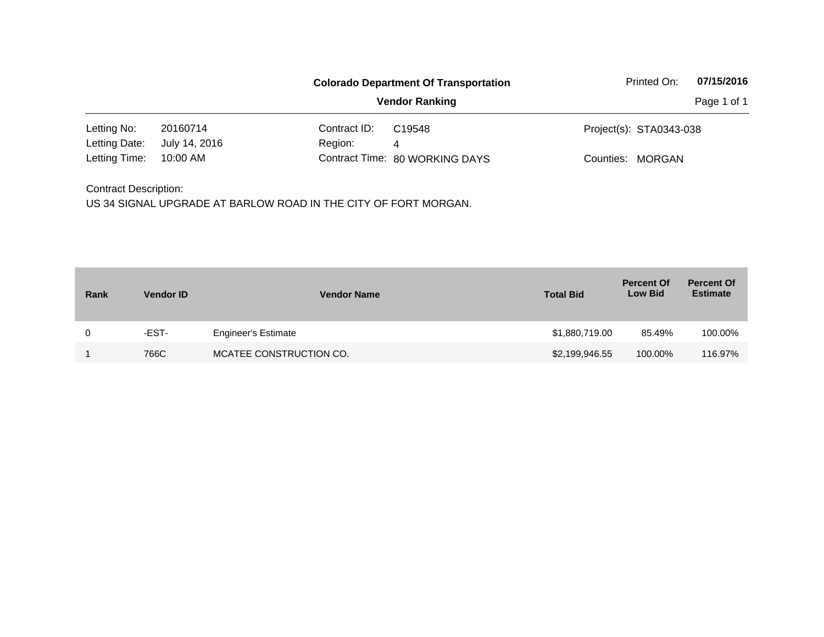|                              | <b>Colorado Department Of Transportation</b> |              |                                |                         | 07/15/2016  |
|------------------------------|----------------------------------------------|--------------|--------------------------------|-------------------------|-------------|
|                              |                                              |              | <b>Vendor Ranking</b>          |                         | Page 1 of 1 |
| Letting No:                  | 20160714                                     | Contract ID: | C19548                         | Project(s): STA0343-038 |             |
| Letting Date:                | July 14, 2016                                | Region:      | 4                              |                         |             |
| Letting Time:                | 10:00 AM                                     |              | Contract Time: 80 WORKING DAYS | Counties: MORGAN        |             |
| <b>Contract Description:</b> |                                              |              |                                |                         |             |

| Rank | <b>Vendor ID</b> | <b>Vendor Name</b>         | <b>Total Bid</b> | <b>Percent Of</b><br><b>Low Bid</b> | <b>Percent Of</b><br><b>Estimate</b> |
|------|------------------|----------------------------|------------------|-------------------------------------|--------------------------------------|
| 0    | -EST-            | <b>Engineer's Estimate</b> | \$1,880,719.00   | 85.49%                              | 100.00%                              |
|      | 766C             | MCATEE CONSTRUCTION CO.    | \$2,199,946.55   | 100.00%                             | 116.97%                              |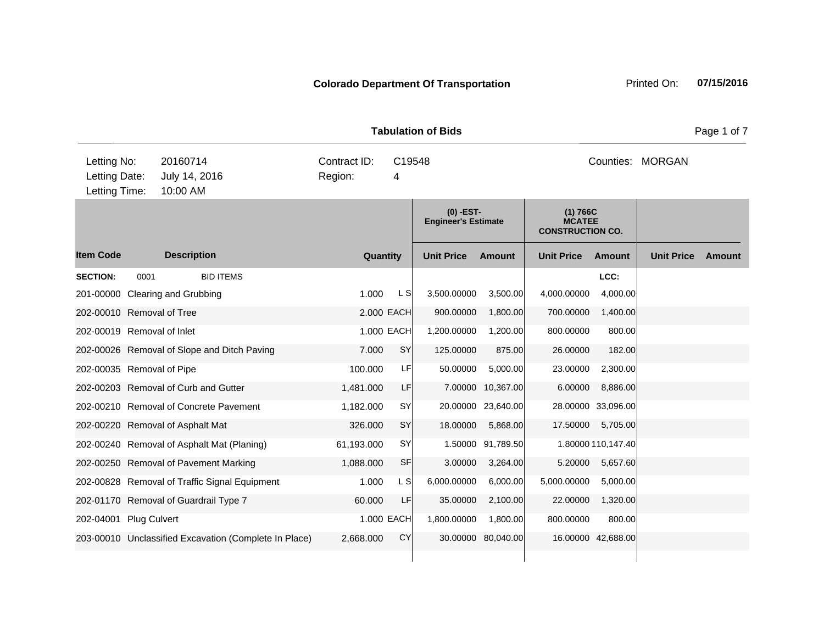**Quantity Unit Price Unit Price Item Code Amount Unit Price Amount Ext Ext Unit Price Amount Ext (0) -EST-Engineer's Estimate (1) 766C MCATEE CONSTRUCTION CO. Description SECTION:** 0001 BID ITEMS **LCC:** 201-00000 Clearing and Grubbing 201-0000 Clearing and Grubbing 1.000 Clearing 3,500.0000 Clearing and Grubbing 202-00010 Removal of Tree 2.000 EACH 900.00000 1,800.00 700.00000 1,400.00 202-00019 Removal of Inlet 1.000 EACH 1,200.00000 1,200.00 800.00000 800.00 202-00026 Removal of Slope and Ditch Paving 7.000 SY 125.00000 875.00 26.00000 182.00 202-00035 Removal of Pipe 100.000 LF 50.00000 5,000.00 23.00000 2,300.00 202-00203 Removal of Curb and Gutter 1,481.000 LF 7.00000 10,367.00 6.00000 8,886.00 202-00210 Removal of Concrete Pavement 1,182.000 SY 20.00000 23,640.00 28.00000 33,096.00 202-00220 Removal of Asphalt Mat 326.000 SY 18.00000 5,868.00 17.50000 5,705.00 202-00240 Removal of Asphalt Mat (Planing) 61,193.000 SY 1.50000 91,789.50 1.80000 110,147.40 202-00250 Removal of Pavement Marking 1,088.000 SF 3.00000 3,264.00 5.20000 5,657.60 202-00828 Removal of Traffic Signal Equipment 1.000 L S 6,000.00000 6,000.00 5,000.00000 5,000.00 202-01170 Removal of Guardrail Type 7 60.000 LF 35.00000 2,100.00 22.00000 1,320.00 202-04001 Plug Culvert 1.000 EACH 1,800.00000 1,800.00 800.00000 800.00 203-00010 Unclassified Excavation (Complete In Place) 2,668.000 CY 30.00000 80,040.00 16.00000 42,688.00 **Tabulation of Bids Page 1 of 7 Page 1 of 7** 10:00 AM Counties: MORGAN Letting Date: July 14, 2016 4 C19548 Region: Letting Time: Letting No: 20160714 Contract ID: Counties: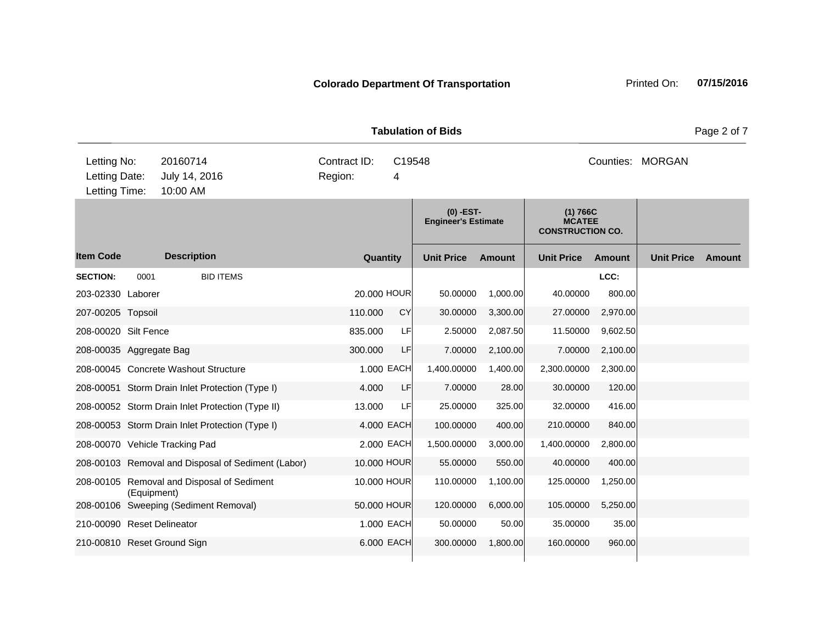**Quantity Unit Price Unit Price Item Code Amount Unit Price Amount Ext Ext Unit Price Amount Ext (0) -EST-Engineer's Estimate (1) 766C MCATEE CONSTRUCTION CO. Description SECTION:** 0001 BID ITEMS **LCC:** 203-02330 Laborer 20.000 HOUR 50.00000 1,000.00 40.00000 800.00 207-00205 Topsoil 110.000 CY 30.00000 3,300.00 27.00000 2,970.00 208-00020 Silt Fence 835.000 LF 2.50000 2,087.50 11.50000 9,602.50 208-00035 Aggregate Bag 300.000 LF 7.00000 2,100.00 7.00000 2,100.00 208-00045 Concrete Washout Structure 1.000 EACH 1,400.00000 1,400.00 2,300.00000 2,300.00 208-00051 Storm Drain Inlet Protection (Type I) 4.000 LF 7.00000 28.00 30.00000 120.00 208-00052 Storm Drain Inlet Protection (Type II) 13.000 LF 25.00000 325.00 32.00000 416.00 208-00053 Storm Drain Inlet Protection (Type I) 4.000 EACH 100.00000 400.00 210.00000 840.00 208-00070 Vehicle Tracking Pad 2.000 EACH 1,500.00000 3,000.00 1,400.00000 2,800.00 208-00103 Removal and Disposal of Sediment (Labor) 10.000 HOUR 55.00000 550.00 40.00000 400.00 208-00105 Removal and Disposal of Sediment (Equipment) 10.000 HOUR 110.00000 1,100.00 125.00000 1,250.00 208-00106 Sweeping (Sediment Removal) 50.000 HOUR 120.00000 6,000.00 105.00000 5,250.00 210-00090 Reset Delineator 1.000 EACH 50.00000 50.00 35.00000 35.00 210-00810 Reset Ground Sign 6.000 EACH 300.00000 1,800.00 160.00000 960.00 **Tabulation of Bids** Page 2 of 7 10:00 AM Counties: MORGAN Letting Date: July 14, 2016 **1998 12: 13: 14: 14: 2016** Region: 4 C19548 Region: Letting Time: Letting No: 20160714 Contract ID: Counties: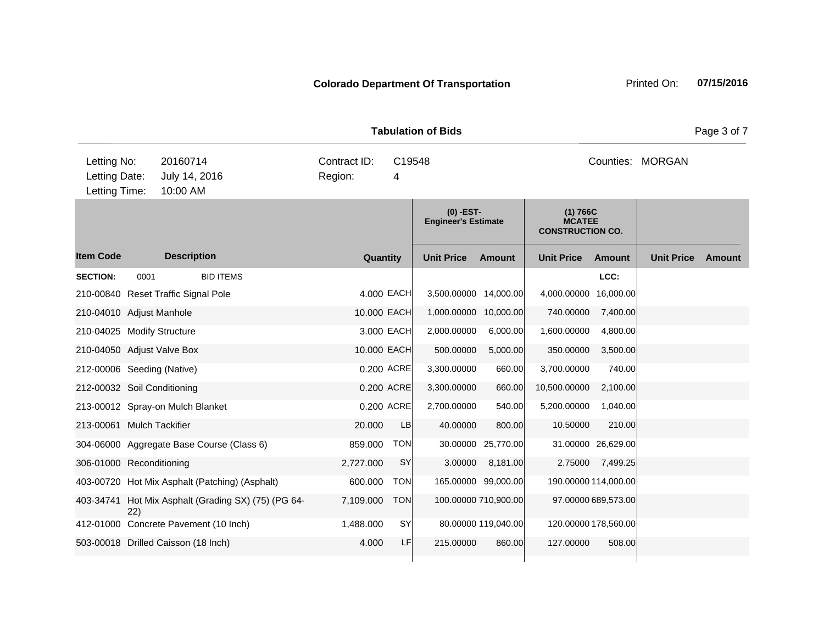**Quantity Unit Price Unit Price Item Code Amount Unit Price Amount Ext Ext Unit Price Amount Ext (0) -EST-Engineer's Estimate (1) 766C MCATEE CONSTRUCTION CO. Description SECTION:** 0001 BID ITEMS **LCC:** 210-00840 Reset Traffic Signal Pole 4.000 4.000 EACH 3,500.00000 14,000.00 4,000.00000 16,000.00 210-04010 Adjust Manhole 10.000 EACH 1,000.00000 10,000.00 740.00000 7,400.00 210-04025 Modify Structure 3.000 EACH 2,000.00000 6,000.00 1,600.00000 4,800.00 210-04050 Adjust Valve Box 10.000 EACH 500.00000 5,000.00 350.00000 3,500.00 212-00006 Seeding (Native) 0.200 ACRE 3,300.00000 660.00 3,700.00000 740.00 212-00032 Soil Conditioning 0.200 ACRE 3,300.00000 660.00 10,500.00000 2,100.00 213-00012 Spray-on Mulch Blanket 0.200 ACRE 2,700.00000 540.00 5,200.00000 1,040.00 213-00061 Mulch Tackifier 20.000 LB 40.00000 800.00 10.50000 210.00 304-06000 Aggregate Base Course (Class 6) 859.000 TON 30.00000 25,770.00 31.00000 26,629.00 306-01000 Reconditioning 2,727.000 SY 3.00000 8,181.00 2.75000 7,499.25 403-00720 Hot Mix Asphalt (Patching) (Asphalt) 600.000 TON 165.00000 99,000.00 190.00000 114,000.00 403-34741 Hot Mix Asphalt (Grading SX) (75) (PG 64- 22) 7,109.000 TON 100.00000 710,900.00 97.00000 689,573.00 412-01000 Concrete Pavement (10 Inch) 1,488.000 SY 80.00000 119,040.00 120.00000 178,560.00 503-00018 Drilled Caisson (18 Inch) 4.000 LF 215.00000 860.00 127.00000 508.00 **Tabulation of Bids** Page 3 of 7 10:00 AM Counties: MORGAN Letting Date: July 14, 2016 **1998 12: 13: 14: 14: 2016** Region: 4 C19548 Region: Letting Time: Letting No: 20160714 Contract ID: Counties: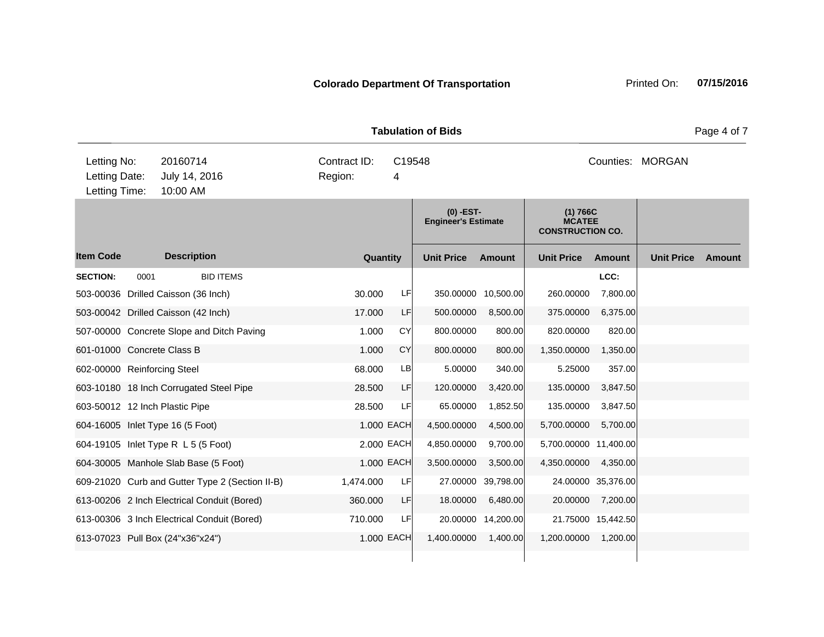**Quantity Unit Price Unit Price Item Code Amount Unit Price Amount Ext Ext Unit Price Amount Ext (0) -EST-Engineer's Estimate (1) 766C MCATEE CONSTRUCTION CO. Description SECTION:** 0001 BID ITEMS **LCC:** 503-00036 Drilled Caisson (36 Inch) 30.000 LF 350.00000 10,500.00 260.00000 7,800.00 503-00042 Drilled Caisson (42 Inch) 17.000 LF 500.00000 8,500.00 375.00000 6,375.00 507-00000 Concrete Slope and Ditch Paving 1.000 CY 800.00000 800.00 820.00000 820.00 601-01000 Concrete Class B 1.000 CY 800.00000 800.00 1,350.00000 1,350.00 602-00000 Reinforcing Steel 68.000 LB 5.00000 340.00 5.25000 357.00 603-10180 18 Inch Corrugated Steel Pipe 28.500 LF 120.00000 3,420.00 135.00000 3,847.50 603-50012 12 Inch Plastic Pipe 28.500 LF 65.00000 1,852.50 135.00000 3,847.50 604-16005 Inlet Type 16 (5 Foot) 1.000 EACH 4,500.00000 4,500.00 5,700.0000 5,700.00 604-19105 Inlet Type R L 5 (5 Foot) 2.000 EACH 4,850.00000 9,700.00 5,700.00000 11,400.00 604-30005 Manhole Slab Base (5 Foot) 1.000 EACH 3,500.00000 3,500.00 4,350.00000 4,350.00 609-21020 Curb and Gutter Type 2 (Section II-B) 1,474.000 LF 27.00000 39,798.00 24.00000 35,376.00 613-00206 2 Inch Electrical Conduit (Bored) 360.000 LF 18.00000 6,480.00 20.00000 7,200.00 613-00306 3 Inch Electrical Conduit (Bored) 710.000 LF 20.00000 14,200.00 21.75000 15,442.50 613-07023 Pull Box (24"x36"x24") 1.000 EACH 1,400.00000 1,400.00 1,200.00000 1,200.00 **Tabulation of Bids Page 4 of 7 Page 4 of 7** 10:00 AM Counties: MORGAN Letting Date: July 14, 2016 4 C19548 Region: Letting Time: Letting No: 20160714 Contract ID: Counties: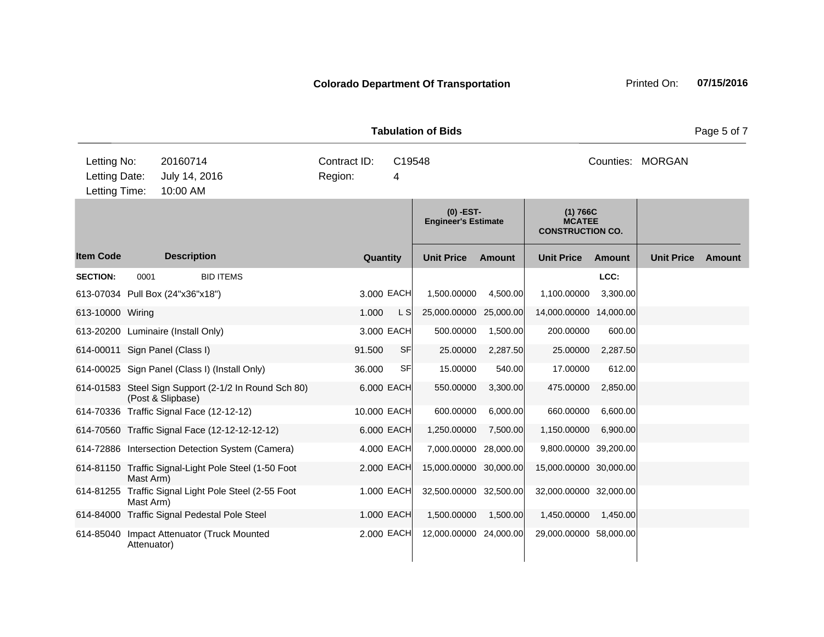**Quantity Unit Price Unit Price Ext** Item Code Description Quantity Unit Price Amount Unit Price Amount Unit Price **Ext Unit Price Amount Ext Amount (0) -EST-Engineer's Estimate (1) 766C MCATEE CONSTRUCTION CO. Description SECTION:** 0001 BID ITEMS **LCC:** 613-07034 Pull Box (24"x36"x18") 3.000 EACH 1,500.00000 4,500.00 1,100.00000 3,300.00 613-10000 Wiring 1.000 L S 25,000.00000 25,000.00 14,000.0000 14,000.00 14,000.00 14,000.00 14,000.00 14,000 613-20200 Luminaire (Install Only) 3.000 EACH 500.00000 1,500.00 200.00000 600.00 614-00011 Sign Panel (Class I) 91.500 SF 25.00000 2,287.50 25.00000 2,287.50 614-00025 Sign Panel (Class I) (Install Only) 36.000 SF 15.00000 540.00 17.00000 612.00 614-01583 Steel Sign Support (2-1/2 In Round Sch 80) (Post & Slipbase) 6.000 EACH 550.00000 3,300.00 475.00000 2,850.00 614-70336 Traffic Signal Face (12-12-12) 10.000 EACH 600.00000 6,000.00 660.00000 6,600.00 614-70560 Traffic Signal Face (12-12-12-12-12) 6.000 EACH 1,250.00000 7,500.00 1,150.00000 6,900.00 614-72886 Intersection Detection System (Camera) 4.000 EACH 7,000.00000 28,000.00 9,800.00000 39,200.00 614-81150 Traffic Signal-Light Pole Steel (1-50 Foot Mast Arm) 2.000 EACH 15,000.00000 30,000.00 15,000.0000 30,000.00 614-81255 Traffic Signal Light Pole Steel (2-55 Foot Mast Arm) 1.000 EACH 32,500.00000 32,500.00 32,000.00000 32,000.00 614-84000 Traffic Signal Pedestal Pole Steel 1.000 EACH 1,500.00000 1,500.00 1,450.00000 1,450.00 614-85040 Impact Attenuator (Truck Mounted Attenuator) 2.000 EACH 12,000.00000 24,000.00 29,000.00000 58,000.00 10:00 AM Counties: MORGAN Letting Date: July 14, 2016 4 C19548 Region: Letting Time: Letting No: 20160714 Contract ID: Counties:

**Tabulation of Bids** Page 5 of 7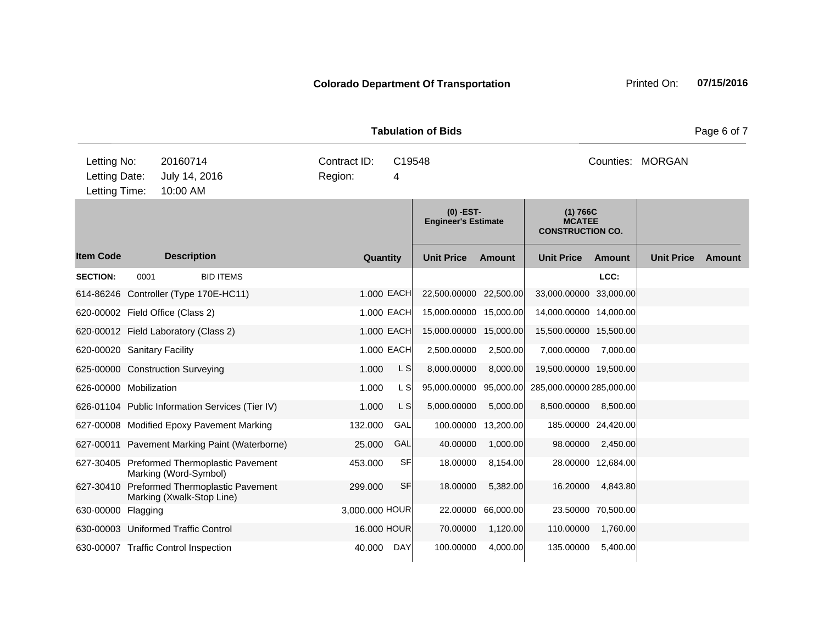**Quantity Unit Price Unit Price Item Code Amount Unit Price Amount Ext Ext Unit Price Amount Ext (0) -EST-Engineer's Estimate (1) 766C MCATEE CONSTRUCTION CO. Description SECTION:** 0001 BID ITEMS **LCC:** 614-86246 Controller (Type 170E-HC11) 1.000 EACH 22,500.00000 22,500.00 33,000.00000 33,000.00 620-00002 Field Office (Class 2) 1.000 EACH 15,000.00000 15,000.00 14,000.00000 14,000.00 620-00012 Field Laboratory (Class 2)  $\qquad 1.000$  EACH 15,000.00000 15,000.00 15,500.00000 15,500.00 15,500.00 620-00020 Sanitary Facility 1.000 EACH 2,500.00000 2,500.00 7,000.00000 7,000.00 625-00000 Construction Surveying 1.000 L S 8,000.00000 8,000.00 19,500.00000 19,500.00 626-00000 Mobilization 1.000 L S 95,000.00000 95,000.00 285,000.00000 285,000.00 626-01104 Public Information Services (Tier IV)  $1.000$  L S  $5,000.00000$  5,000.000 8,500.0000 8,500.00 8,500.00 627-00008 Modified Epoxy Pavement Marking 132.000 GAL 100.00000 13,200.00 185.00000 24,420.00 627-00011 Pavement Marking Paint (Waterborne) 25.000 GAL 40.00000 1,000.00 98.00000 2,450.00 627-30405 Preformed Thermoplastic Pavement Marking (Word-Symbol) 453.000 SF 18.00000 8,154.00 28.00000 12,684.00 627-30410 Preformed Thermoplastic Pavement Marking (Xwalk-Stop Line) 299.000 SF 18.00000 5,382.00 16.20000 4,843.80 630-00000 Flagging 3,000.000 HOUR 22.00000 66,000.00 23.50000 70,500.00 630-00003 Uniformed Traffic Control 16.000 HOUR 70.00000 1,120.00 110.00000 1,760.00 630-00007 Traffic Control Inspection 40.000 DAY 100.00000 4,000.00 135.00000 5,400.00 **Tabulation of Bids Page 6 of 7 Page 6 of 7** 10:00 AM Counties: MORGAN Letting Date: July 14, 2016 4 C19548 Region: Letting Time: Letting No: 20160714 Contract ID: Counties: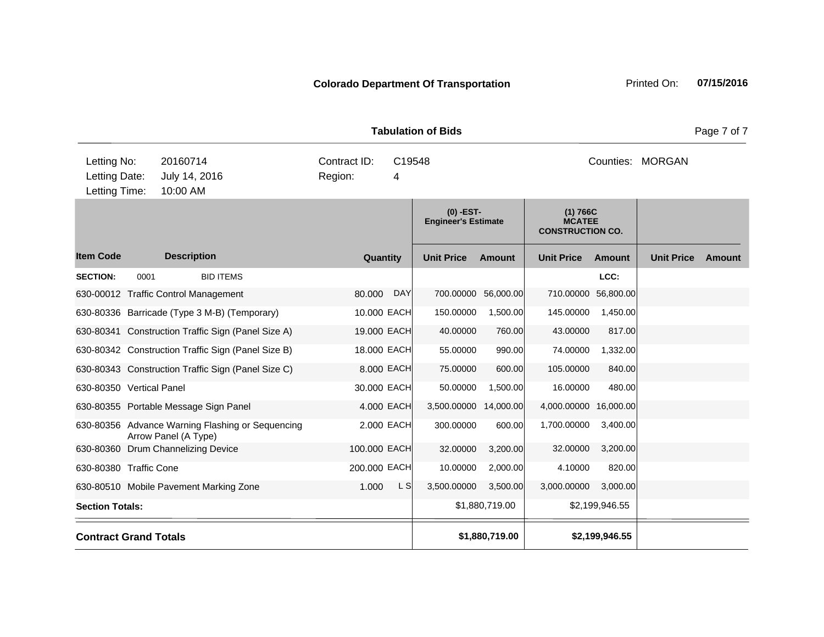**Quantity Unit Price Unit Price Item Code Amount Unit Price Amount Ext Ext Unit Price Amount Ext (0) -EST-Engineer's Estimate (1) 766C MCATEE CONSTRUCTION CO. Description SECTION:** 0001 BID ITEMS **LCC:** 630-00012 Traffic Control Management 80.000 DAY 700.00000 56,000.00 710.00000 56,800.00 630-80336 Barricade (Type 3 M-B) (Temporary) 10.000 EACH 150.00000 1,500.00 145.00000 1,450.00 630-80341 Construction Traffic Sign (Panel Size A) 19.000 EACH 40.00000 760.00 43.00000 817.00 630-80342 Construction Traffic Sign (Panel Size B) 18.000 EACH 55.00000 990.00 74.00000 1,332.00 630-80343 Construction Traffic Sign (Panel Size C) 8.000 EACH 75.00000 600.00 105.00000 840.00 630-80350 Vertical Panel 30.000 EACH 50.00000 1,500.00 16.00000 480.00 630-80355 Portable Message Sign Panel 4.000 4.000 EACH 3,500.00000 14,000.00 4,000.00000 16,000.00 630-80356 Advance Warning Flashing or Sequencing Arrow Panel (A Type) 2.000 EACH 300.00000 600.00 1,700.00000 3,400.00 630-80360 Drum Channelizing Device 100.000 EACH 32.00000 3,200.00 32.00000 3,200.00 630-80380 Traffic Cone 200.000 EACH 10.00000 2,000.00 4.10000 820.00 630-80510 Mobile Pavement Marking Zone 1.000 L S 3,500.00000 3,500.00 3,000.0000 3,000.00 3,000.00 3,000.00 3,000 **Section Totals:** \$1,880,719.00 \$2,199,946.55 **Contract Grand Totals \$1,880,719.00 \$2,199,946.55 Tabulation of Bids Page 7 of 7 Page 7 of 7** 10:00 AM Counties: MORGAN Letting Date: July 14, 2016 4 C19548 Region: Letting Time: Letting No: 20160714 Contract ID: Counties: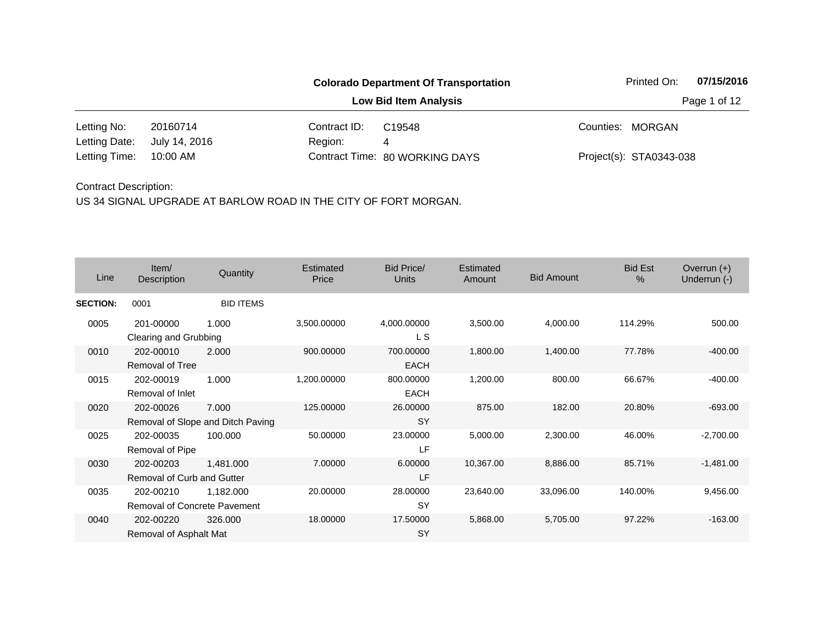|               |                              |              | <b>Colorado Department Of Transportation</b> |  | Printed On:             | 07/15/2016   |  |
|---------------|------------------------------|--------------|----------------------------------------------|--|-------------------------|--------------|--|
|               | <b>Low Bid Item Analysis</b> |              |                                              |  |                         | Page 1 of 12 |  |
| Letting No:   | 20160714                     | Contract ID: | C <sub>19548</sub>                           |  | Counties: MORGAN        |              |  |
| Letting Date: | July 14, 2016                | Region:      | 4                                            |  |                         |              |  |
| Letting Time: | 10:00 AM                     |              | Contract Time: 80 WORKING DAYS               |  | Project(s): STA0343-038 |              |  |

| Line            | Item/<br>Description                             | Quantity                                   | Estimated<br>Price | Bid Price/<br><b>Units</b> | Estimated<br>Amount | <b>Bid Amount</b> | <b>Bid Est</b><br>$\frac{0}{0}$ | Overrun $(+)$<br>Underrun (-) |
|-----------------|--------------------------------------------------|--------------------------------------------|--------------------|----------------------------|---------------------|-------------------|---------------------------------|-------------------------------|
| <b>SECTION:</b> | 0001                                             | <b>BID ITEMS</b>                           |                    |                            |                     |                   |                                 |                               |
| 0005            | 201-00000<br>Clearing and Grubbing               | 1.000                                      | 3,500.00000        | 4,000.00000<br>L S         | 3,500.00            | 4,000.00          | 114.29%                         | 500.00                        |
| 0010            | 202-00010<br><b>Removal of Tree</b>              | 2.000                                      | 900.00000          | 700.00000<br><b>EACH</b>   | 1,800.00            | 1,400.00          | 77.78%                          | $-400.00$                     |
| 0015            | 202-00019<br>Removal of Inlet                    | 1.000                                      | 1,200.00000        | 800.00000<br><b>EACH</b>   | 1,200.00            | 800.00            | 66.67%                          | $-400.00$                     |
| 0020            | 202-00026                                        | 7.000<br>Removal of Slope and Ditch Paving | 125.00000          | 26.00000<br><b>SY</b>      | 875.00              | 182.00            | 20.80%                          | $-693.00$                     |
| 0025            | 202-00035<br>Removal of Pipe                     | 100.000                                    | 50.00000           | 23.00000<br>LF             | 5,000.00            | 2,300.00          | 46.00%                          | $-2,700.00$                   |
| 0030            | 202-00203<br>Removal of Curb and Gutter          | 1,481.000                                  | 7.00000            | 6.00000<br>LF              | 10,367.00           | 8,886.00          | 85.71%                          | $-1,481.00$                   |
| 0035            | 202-00210<br><b>Removal of Concrete Pavement</b> | 1,182.000                                  | 20.00000           | 28.00000<br><b>SY</b>      | 23,640.00           | 33,096.00         | 140.00%                         | 9,456.00                      |
| 0040            | 202-00220<br>Removal of Asphalt Mat              | 326,000                                    | 18.00000           | 17.50000<br>SY             | 5,868.00            | 5,705.00          | 97.22%                          | $-163.00$                     |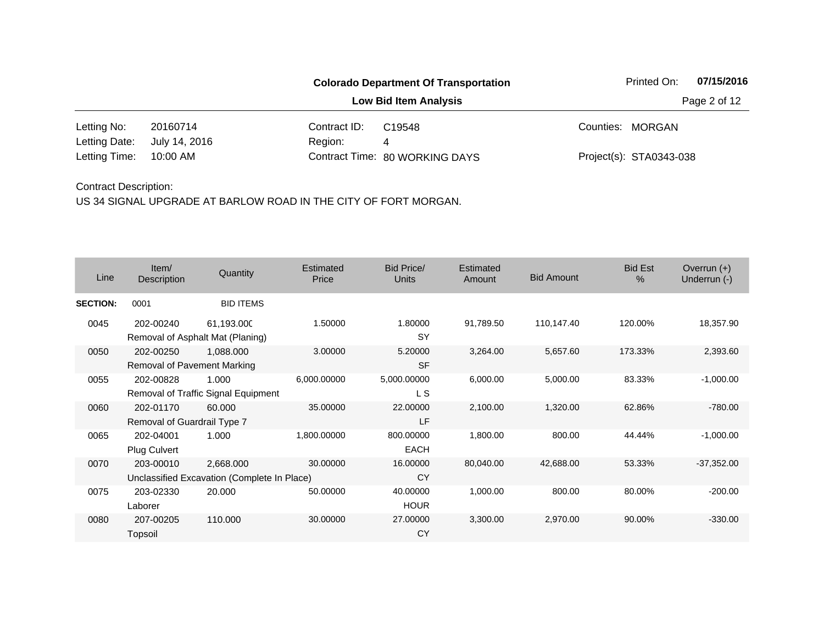|                        |                              |              | <b>Colorado Department Of Transportation</b> |  | Printed On:             | 07/15/2016   |
|------------------------|------------------------------|--------------|----------------------------------------------|--|-------------------------|--------------|
|                        | <b>Low Bid Item Analysis</b> |              |                                              |  |                         | Page 2 of 12 |
| Letting No:            | 20160714                     | Contract ID: | C <sub>19548</sub>                           |  | Counties: MORGAN        |              |
| Letting Date:          | July 14, 2016                | Region:      | 4                                            |  |                         |              |
| Letting Time: 10:00 AM |                              |              | Contract Time: 80 WORKING DAYS               |  | Project(s): STA0343-038 |              |

| Line            | Item/<br><b>Description</b>              | Quantity                                                 | Estimated<br>Price | Bid Price/<br><b>Units</b> | Estimated<br>Amount | <b>Bid Amount</b> | <b>Bid Est</b><br>$\%$ | Overrun $(+)$<br>Underrun (-) |
|-----------------|------------------------------------------|----------------------------------------------------------|--------------------|----------------------------|---------------------|-------------------|------------------------|-------------------------------|
| <b>SECTION:</b> | 0001                                     | <b>BID ITEMS</b>                                         |                    |                            |                     |                   |                        |                               |
| 0045            | 202-00240                                | 61,193.000<br>Removal of Asphalt Mat (Planing)           | 1.50000            | 1.80000<br><b>SY</b>       | 91,789.50           | 110,147.40        | 120.00%                | 18,357.90                     |
| 0050            | 202-00250<br>Removal of Pavement Marking | 1,088.000                                                | 3.00000            | 5.20000<br><b>SF</b>       | 3,264.00            | 5,657.60          | 173.33%                | 2,393.60                      |
| 0055            | 202-00828                                | 1.000<br>Removal of Traffic Signal Equipment             | 6,000.00000        | 5,000.00000<br>L S         | 6,000.00            | 5,000.00          | 83.33%                 | $-1,000.00$                   |
| 0060            | 202-01170<br>Removal of Guardrail Type 7 | 60,000                                                   | 35.00000           | 22.00000<br>LF             | 2,100.00            | 1,320.00          | 62.86%                 | $-780.00$                     |
| 0065            | 202-04001<br>Plug Culvert                | 1.000                                                    | 1,800.00000        | 800.00000<br><b>EACH</b>   | 1,800.00            | 800.00            | 44.44%                 | $-1,000.00$                   |
| 0070            | 203-00010                                | 2,668.000<br>Unclassified Excavation (Complete In Place) | 30.00000           | 16.00000<br><b>CY</b>      | 80,040.00           | 42,688.00         | 53.33%                 | $-37,352.00$                  |
| 0075            | 203-02330<br>Laborer                     | 20,000                                                   | 50.00000           | 40.00000<br><b>HOUR</b>    | 1,000.00            | 800.00            | 80.00%                 | $-200.00$                     |
| 0080            | 207-00205<br>Topsoil                     | 110.000                                                  | 30.00000           | 27.00000<br><b>CY</b>      | 3,300.00            | 2,970.00          | 90.00%                 | $-330.00$                     |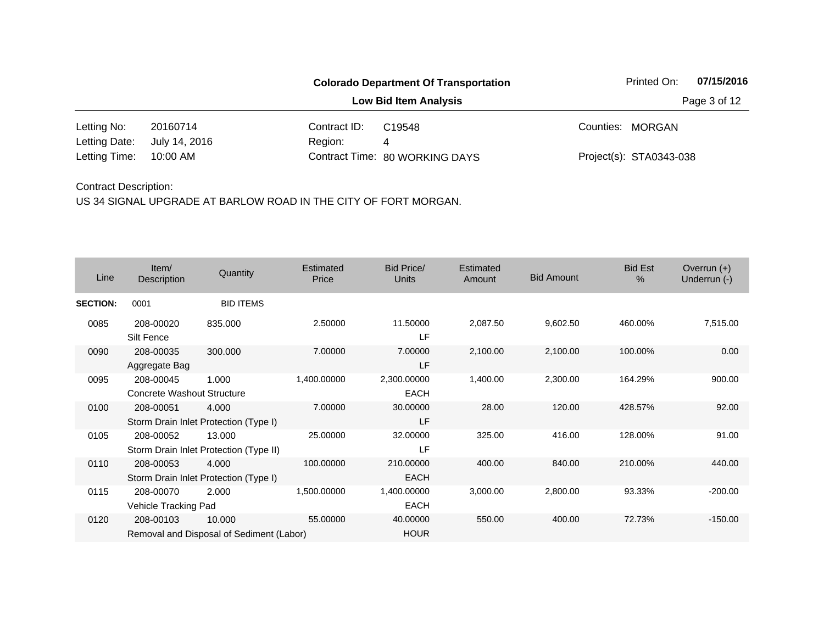|                        |                              |              | <b>Colorado Department Of Transportation</b> |  | Printed On:             | 07/15/2016   |  |
|------------------------|------------------------------|--------------|----------------------------------------------|--|-------------------------|--------------|--|
|                        | <b>Low Bid Item Analysis</b> |              |                                              |  |                         | Page 3 of 12 |  |
| Letting No:            | 20160714                     | Contract ID: | C <sub>19548</sub>                           |  | Counties: MORGAN        |              |  |
| Letting Date:          | July 14, 2016                | Region:      | 4                                            |  |                         |              |  |
| Letting Time: 10:00 AM |                              |              | Contract Time: 80 WORKING DAYS               |  | Project(s): STA0343-038 |              |  |

| Line            | Item/<br>Description                    | Quantity                                           | Estimated<br>Price | Bid Price/<br><b>Units</b> | Estimated<br>Amount | <b>Bid Amount</b> | <b>Bid Est</b><br>$\frac{0}{0}$ | Overrun $(+)$<br>Underrun (-) |
|-----------------|-----------------------------------------|----------------------------------------------------|--------------------|----------------------------|---------------------|-------------------|---------------------------------|-------------------------------|
| <b>SECTION:</b> | 0001                                    | <b>BID ITEMS</b>                                   |                    |                            |                     |                   |                                 |                               |
| 0085            | 208-00020<br>Silt Fence                 | 835,000                                            | 2.50000            | 11.50000<br>LF             | 2,087.50            | 9,602.50          | 460.00%                         | 7,515.00                      |
| 0090            | 208-00035<br>Aggregate Bag              | 300.000                                            | 7.00000            | 7.00000<br>LF              | 2,100.00            | 2,100.00          | 100.00%                         | 0.00                          |
| 0095            | 208-00045<br>Concrete Washout Structure | 1.000                                              | 1,400.00000        | 2,300.00000<br><b>EACH</b> | 1,400.00            | 2,300.00          | 164.29%                         | 900.00                        |
| 0100            | 208-00051                               | 4.000<br>Storm Drain Inlet Protection (Type I)     | 7.00000            | 30.00000<br>LF             | 28.00               | 120.00            | 428.57%                         | 92.00                         |
| 0105            | 208-00052                               | 13.000<br>Storm Drain Inlet Protection (Type II)   | 25.00000           | 32.00000<br>LF             | 325.00              | 416.00            | 128.00%                         | 91.00                         |
| 0110            | 208-00053                               | 4.000<br>Storm Drain Inlet Protection (Type I)     | 100.00000          | 210.00000<br><b>EACH</b>   | 400.00              | 840.00            | 210.00%                         | 440.00                        |
| 0115            | 208-00070<br>Vehicle Tracking Pad       | 2.000                                              | 1,500.00000        | 1,400.00000<br><b>EACH</b> | 3,000.00            | 2,800.00          | 93.33%                          | $-200.00$                     |
| 0120            | 208-00103                               | 10.000<br>Removal and Disposal of Sediment (Labor) | 55.00000           | 40.00000<br><b>HOUR</b>    | 550.00              | 400.00            | 72.73%                          | $-150.00$                     |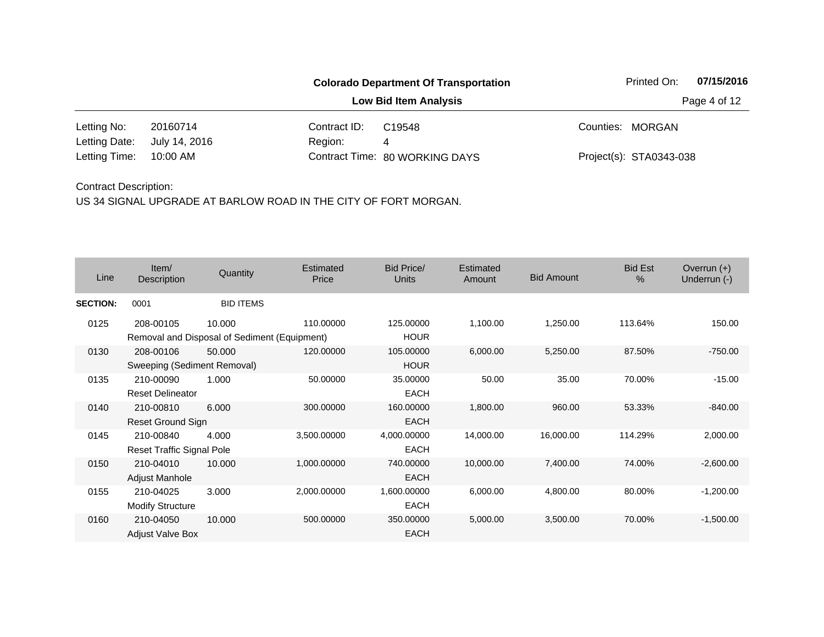|               |                              |              | <b>Colorado Department Of Transportation</b> |  | Printed On:             | 07/15/2016   |  |
|---------------|------------------------------|--------------|----------------------------------------------|--|-------------------------|--------------|--|
|               | <b>Low Bid Item Analysis</b> |              |                                              |  |                         | Page 4 of 12 |  |
| Letting No:   | 20160714                     | Contract ID: | C <sub>19548</sub>                           |  | Counties: MORGAN        |              |  |
| Letting Date: | July 14, 2016                | Region:      | 4                                            |  |                         |              |  |
| Letting Time: | 10:00 AM                     |              | Contract Time: 80 WORKING DAYS               |  | Project(s): STA0343-038 |              |  |

| Line            | Item/<br>Description                                      | Quantity         | Estimated<br>Price | Bid Price/<br><b>Units</b> | Estimated<br>Amount | <b>Bid Amount</b> | <b>Bid Est</b><br>$\frac{0}{0}$ | Overrun $(+)$<br>Underrun (-) |
|-----------------|-----------------------------------------------------------|------------------|--------------------|----------------------------|---------------------|-------------------|---------------------------------|-------------------------------|
| <b>SECTION:</b> | 0001                                                      | <b>BID ITEMS</b> |                    |                            |                     |                   |                                 |                               |
| 0125            | 208-00105<br>Removal and Disposal of Sediment (Equipment) | 10.000           | 110.00000          | 125.00000<br><b>HOUR</b>   | 1,100.00            | 1,250.00          | 113.64%                         | 150.00                        |
| 0130            | 208-00106<br>Sweeping (Sediment Removal)                  | 50.000           | 120.00000          | 105.00000<br><b>HOUR</b>   | 6,000.00            | 5,250.00          | 87.50%                          | $-750.00$                     |
| 0135            | 210-00090<br><b>Reset Delineator</b>                      | 1.000            | 50.00000           | 35.00000<br><b>EACH</b>    | 50.00               | 35.00             | 70.00%                          | $-15.00$                      |
| 0140            | 210-00810<br>Reset Ground Sign                            | 6.000            | 300.00000          | 160.00000<br><b>EACH</b>   | 1,800.00            | 960.00            | 53.33%                          | $-840.00$                     |
| 0145            | 210-00840<br><b>Reset Traffic Signal Pole</b>             | 4.000            | 3,500.00000        | 4,000.00000<br><b>EACH</b> | 14,000.00           | 16,000.00         | 114.29%                         | 2,000.00                      |
| 0150            | 210-04010<br>Adjust Manhole                               | 10.000           | 1,000.00000        | 740.00000<br><b>EACH</b>   | 10,000.00           | 7,400.00          | 74.00%                          | $-2,600.00$                   |
| 0155            | 210-04025<br><b>Modify Structure</b>                      | 3.000            | 2,000.00000        | 1,600.00000<br><b>EACH</b> | 6,000.00            | 4,800.00          | 80.00%                          | $-1,200.00$                   |
| 0160            | 210-04050<br><b>Adjust Valve Box</b>                      | 10.000           | 500.00000          | 350.00000<br><b>EACH</b>   | 5,000.00            | 3,500.00          | 70.00%                          | $-1,500.00$                   |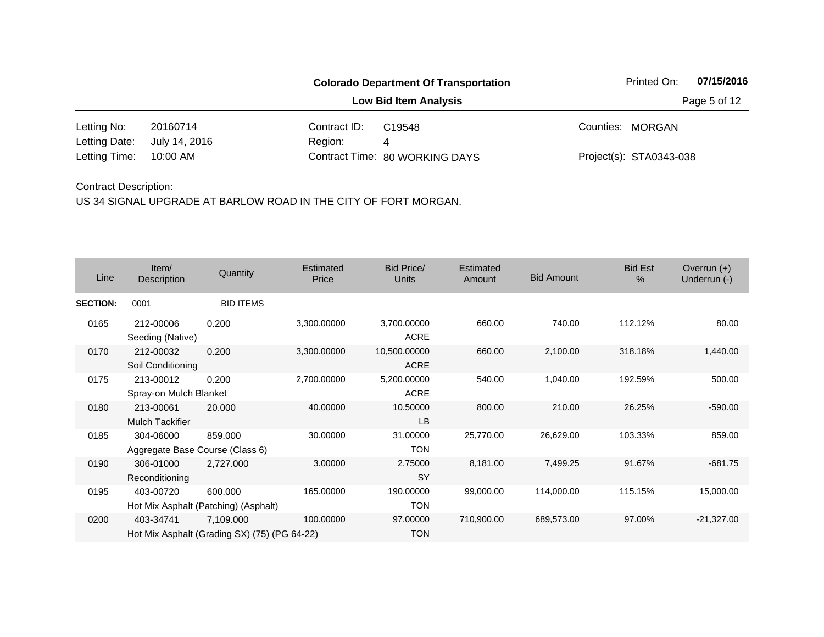|               |                              |              | <b>Colorado Department Of Transportation</b> |  | Printed On:             | 07/15/2016   |  |  |
|---------------|------------------------------|--------------|----------------------------------------------|--|-------------------------|--------------|--|--|
|               | <b>Low Bid Item Analysis</b> |              |                                              |  |                         | Page 5 of 12 |  |  |
| Letting No:   | 20160714                     | Contract ID: | C <sub>19548</sub>                           |  | Counties: MORGAN        |              |  |  |
| Letting Date: | July 14, 2016                | Region:      | 4                                            |  |                         |              |  |  |
| Letting Time: | 10:00 AM                     |              | Contract Time: 80 WORKING DAYS               |  | Project(s): STA0343-038 |              |  |  |

| Line            | Item/<br>Description                         | Quantity                                                  | Estimated<br>Price | Bid Price/<br>Units         | Estimated<br>Amount | <b>Bid Amount</b> | <b>Bid Est</b><br>% | Overrun $(+)$<br>Underrun (-) |
|-----------------|----------------------------------------------|-----------------------------------------------------------|--------------------|-----------------------------|---------------------|-------------------|---------------------|-------------------------------|
| <b>SECTION:</b> | 0001                                         | <b>BID ITEMS</b>                                          |                    |                             |                     |                   |                     |                               |
| 0165            | 212-00006<br>Seeding (Native)                | 0.200                                                     | 3,300.00000        | 3,700.00000<br>ACRE         | 660.00              | 740.00            | 112.12%             | 80.00                         |
| 0170            | 212-00032<br>Soil Conditioning               | 0.200                                                     | 3,300.00000        | 10,500.00000<br><b>ACRE</b> | 660.00              | 2,100.00          | 318.18%             | 1,440.00                      |
| 0175            | 213-00012<br>Spray-on Mulch Blanket          | 0.200                                                     | 2,700.00000        | 5,200.00000<br><b>ACRE</b>  | 540.00              | 1,040.00          | 192.59%             | 500.00                        |
| 0180            | 213-00061<br><b>Mulch Tackifier</b>          | 20.000                                                    | 40.00000           | 10.50000<br>LB              | 800.00              | 210.00            | 26.25%              | $-590.00$                     |
| 0185            | 304-06000<br>Aggregate Base Course (Class 6) | 859.000                                                   | 30.00000           | 31.00000<br><b>TON</b>      | 25,770.00           | 26,629.00         | 103.33%             | 859.00                        |
| 0190            | 306-01000<br>Reconditioning                  | 2,727.000                                                 | 3.00000            | 2.75000<br><b>SY</b>        | 8,181.00            | 7,499.25          | 91.67%              | $-681.75$                     |
| 0195            | 403-00720                                    | 600.000<br>Hot Mix Asphalt (Patching) (Asphalt)           | 165.00000          | 190.00000<br><b>TON</b>     | 99,000.00           | 114,000.00        | 115.15%             | 15,000.00                     |
| 0200            | 403-34741                                    | 7,109.000<br>Hot Mix Asphalt (Grading SX) (75) (PG 64-22) | 100.00000          | 97.00000<br><b>TON</b>      | 710,900.00          | 689,573.00        | 97.00%              | $-21,327.00$                  |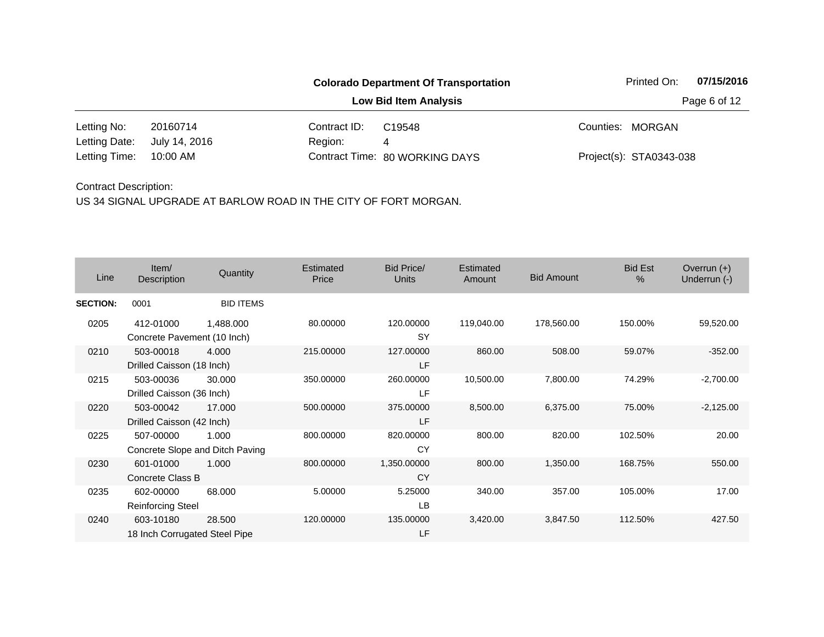|                        |               |              | <b>Colorado Department Of Transportation</b> | Printed On:             | 07/15/2016   |
|------------------------|---------------|--------------|----------------------------------------------|-------------------------|--------------|
|                        |               |              | <b>Low Bid Item Analysis</b>                 |                         | Page 6 of 12 |
| Letting No:            | 20160714      | Contract ID: | C <sub>19548</sub>                           | Counties: MORGAN        |              |
| Letting Date:          | July 14, 2016 | Region:      | 4                                            |                         |              |
| Letting Time: 10:00 AM |               |              | Contract Time: 80 WORKING DAYS               | Project(s): STA0343-038 |              |

| Line            | Item/<br>Description                       | Quantity                                 | Estimated<br>Price | Bid Price/<br>Units      | Estimated<br>Amount | <b>Bid Amount</b> | <b>Bid Est</b><br>% | Overrun $(+)$<br>Underrun (-) |
|-----------------|--------------------------------------------|------------------------------------------|--------------------|--------------------------|---------------------|-------------------|---------------------|-------------------------------|
| <b>SECTION:</b> | 0001                                       | <b>BID ITEMS</b>                         |                    |                          |                     |                   |                     |                               |
| 0205            | 412-01000<br>Concrete Pavement (10 Inch)   | 1,488.000                                | 80.00000           | 120.00000<br><b>SY</b>   | 119,040.00          | 178,560.00        | 150.00%             | 59,520.00                     |
| 0210            | 503-00018<br>Drilled Caisson (18 Inch)     | 4.000                                    | 215.00000          | 127.00000<br>LF          | 860.00              | 508.00            | 59.07%              | $-352.00$                     |
| 0215            | 503-00036<br>Drilled Caisson (36 Inch)     | 30.000                                   | 350.00000          | 260.00000<br>LF          | 10,500.00           | 7,800.00          | 74.29%              | $-2,700.00$                   |
| 0220            | 503-00042<br>Drilled Caisson (42 Inch)     | 17.000                                   | 500.00000          | 375.00000<br>LF          | 8,500.00            | 6,375.00          | 75.00%              | $-2,125.00$                   |
| 0225            | 507-00000                                  | 1.000<br>Concrete Slope and Ditch Paving | 800.00000          | 820.00000<br>CY          | 800.00              | 820.00            | 102.50%             | 20.00                         |
| 0230            | 601-01000<br>Concrete Class B              | 1.000                                    | 800.00000          | 1,350.00000<br><b>CY</b> | 800.00              | 1,350.00          | 168.75%             | 550.00                        |
| 0235            | 602-00000<br><b>Reinforcing Steel</b>      | 68,000                                   | 5.00000            | 5.25000<br><b>LB</b>     | 340.00              | 357.00            | 105.00%             | 17.00                         |
| 0240            | 603-10180<br>18 Inch Corrugated Steel Pipe | 28.500                                   | 120.00000          | 135.00000<br>LF          | 3,420.00            | 3,847.50          | 112.50%             | 427.50                        |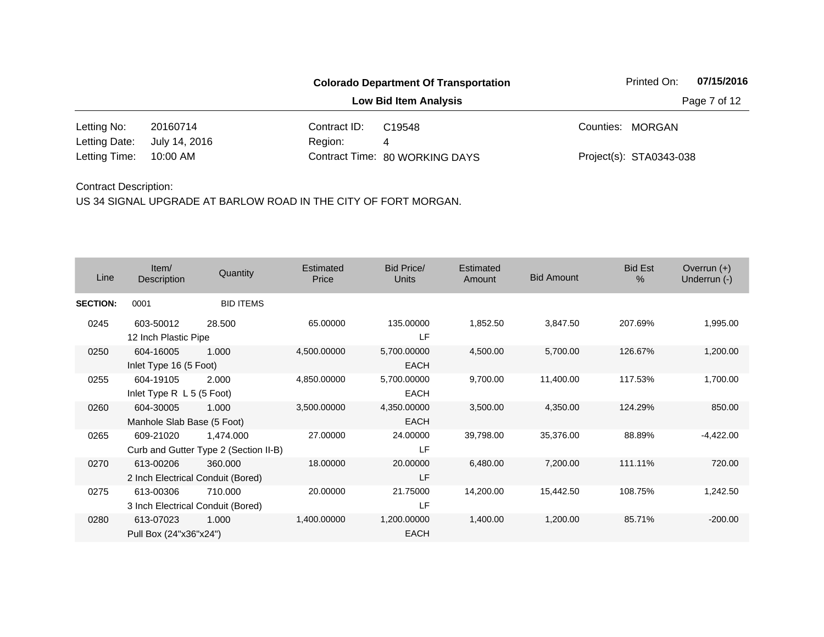|                        |               |              | <b>Colorado Department Of Transportation</b> | Printed On:             | 07/15/2016   |
|------------------------|---------------|--------------|----------------------------------------------|-------------------------|--------------|
|                        |               |              | <b>Low Bid Item Analysis</b>                 |                         | Page 7 of 12 |
| Letting No:            | 20160714      | Contract ID: | C19548                                       | Counties: MORGAN        |              |
| Letting Date:          | July 14, 2016 | Region:      | 4                                            |                         |              |
| Letting Time: 10:00 AM |               |              | Contract Time: 80 WORKING DAYS               | Project(s): STA0343-038 |              |

| Line            | Item/<br>Description                           | Quantity                                           | Estimated<br>Price | Bid Price/<br><b>Units</b> | Estimated<br>Amount | <b>Bid Amount</b> | <b>Bid Est</b><br>% | Overrun $(+)$<br>Underrun (-) |
|-----------------|------------------------------------------------|----------------------------------------------------|--------------------|----------------------------|---------------------|-------------------|---------------------|-------------------------------|
| <b>SECTION:</b> | 0001                                           | <b>BID ITEMS</b>                                   |                    |                            |                     |                   |                     |                               |
| 0245            | 603-50012<br>12 Inch Plastic Pipe              | 28.500                                             | 65.00000           | 135.00000<br>LF            | 1,852.50            | 3,847.50          | 207.69%             | 1,995.00                      |
| 0250            | 604-16005<br>Inlet Type 16 (5 Foot)            | 1.000                                              | 4,500.00000        | 5,700.00000<br><b>EACH</b> | 4,500.00            | 5,700.00          | 126.67%             | 1,200.00                      |
| 0255            | 604-19105<br>Inlet Type $R$ L 5 (5 Foot)       | 2.000                                              | 4,850.00000        | 5,700.00000<br><b>EACH</b> | 9,700.00            | 11,400.00         | 117.53%             | 1,700.00                      |
| 0260            | 604-30005<br>Manhole Slab Base (5 Foot)        | 1.000                                              | 3,500.00000        | 4,350.00000<br><b>EACH</b> | 3,500.00            | 4,350.00          | 124.29%             | 850.00                        |
| 0265            | 609-21020                                      | 1,474.000<br>Curb and Gutter Type 2 (Section II-B) | 27.00000           | 24.00000<br>LF             | 39,798.00           | 35,376.00         | 88.89%              | $-4,422.00$                   |
| 0270            | 613-00206<br>2 Inch Electrical Conduit (Bored) | 360,000                                            | 18.00000           | 20.00000<br>LF             | 6,480.00            | 7,200.00          | 111.11%             | 720.00                        |
| 0275            | 613-00306<br>3 Inch Electrical Conduit (Bored) | 710.000                                            | 20.00000           | 21.75000<br>LF             | 14,200.00           | 15,442.50         | 108.75%             | 1,242.50                      |
| 0280            | 613-07023<br>Pull Box (24"x36"x24")            | 1.000                                              | 1,400.00000        | 1,200.00000<br><b>EACH</b> | 1,400.00            | 1,200.00          | 85.71%              | $-200.00$                     |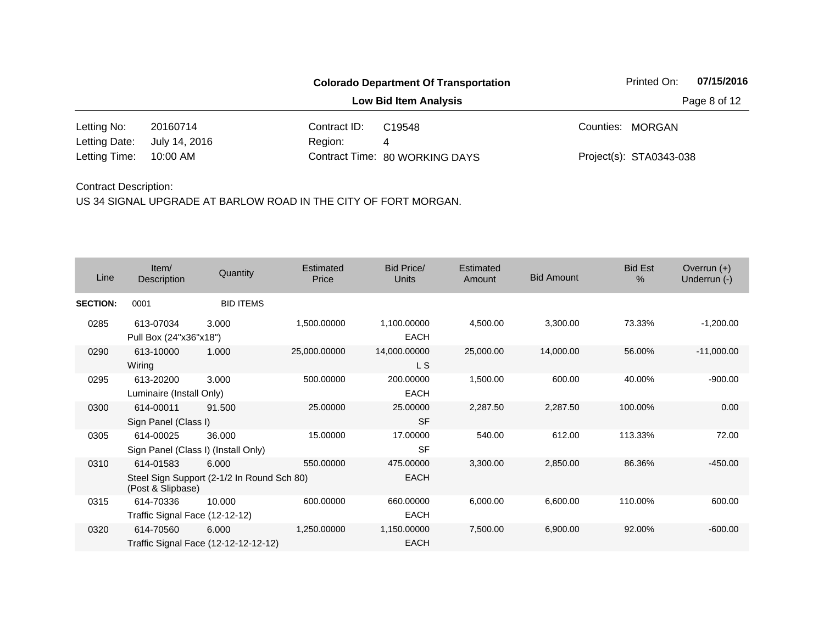|               |               |              | <b>Colorado Department Of Transportation</b> | Printed On:             | 07/15/2016   |
|---------------|---------------|--------------|----------------------------------------------|-------------------------|--------------|
|               |               |              | <b>Low Bid Item Analysis</b>                 |                         | Page 8 of 12 |
| Letting No:   | 20160714      | Contract ID: | C <sub>19548</sub>                           | Counties: MORGAN        |              |
| Letting Date: | July 14, 2016 | Region:      | 4                                            |                         |              |
| Letting Time: | 10:00 AM      |              | Contract Time: 80 WORKING DAYS               | Project(s): STA0343-038 |              |

| Line            | Item/<br>Description                        | Quantity                                            | Estimated<br>Price | <b>Bid Price/</b><br><b>Units</b> | Estimated<br>Amount | <b>Bid Amount</b> | <b>Bid Est</b><br>% | Overrun $(+)$<br>Underrun (-) |
|-----------------|---------------------------------------------|-----------------------------------------------------|--------------------|-----------------------------------|---------------------|-------------------|---------------------|-------------------------------|
| <b>SECTION:</b> | 0001                                        | <b>BID ITEMS</b>                                    |                    |                                   |                     |                   |                     |                               |
| 0285            | 613-07034<br>Pull Box (24"x36"x18")         | 3.000                                               | 1,500.00000        | 1,100.00000<br><b>EACH</b>        | 4,500.00            | 3,300.00          | 73.33%              | $-1,200.00$                   |
| 0290            | 613-10000<br>Wiring                         | 1.000                                               | 25,000.00000       | 14,000.00000<br>L S               | 25,000.00           | 14,000.00         | 56.00%              | $-11,000.00$                  |
| 0295            | 613-20200<br>Luminaire (Install Only)       | 3.000                                               | 500.00000          | 200.00000<br><b>EACH</b>          | 1,500.00            | 600.00            | 40.00%              | $-900.00$                     |
| 0300            | 614-00011<br>Sign Panel (Class I)           | 91.500                                              | 25.00000           | 25.00000<br><b>SF</b>             | 2,287.50            | 2,287.50          | 100.00%             | 0.00                          |
| 0305            | 614-00025                                   | 36.000<br>Sign Panel (Class I) (Install Only)       | 15.00000           | 17.00000<br><b>SF</b>             | 540.00              | 612.00            | 113.33%             | 72.00                         |
| 0310            | 614-01583<br>(Post & Slipbase)              | 6.000<br>Steel Sign Support (2-1/2 In Round Sch 80) | 550.00000          | 475.00000<br><b>EACH</b>          | 3,300.00            | 2,850.00          | 86.36%              | $-450.00$                     |
| 0315            | 614-70336<br>Traffic Signal Face (12-12-12) | 10.000                                              | 600.00000          | 660.00000<br>EACH                 | 6,000.00            | 6,600.00          | 110.00%             | 600.00                        |
| 0320            | 614-70560                                   | 6.000<br>Traffic Signal Face (12-12-12-12-12)       | 1,250.00000        | 1,150.00000<br><b>EACH</b>        | 7,500.00            | 6,900.00          | 92.00%              | $-600.00$                     |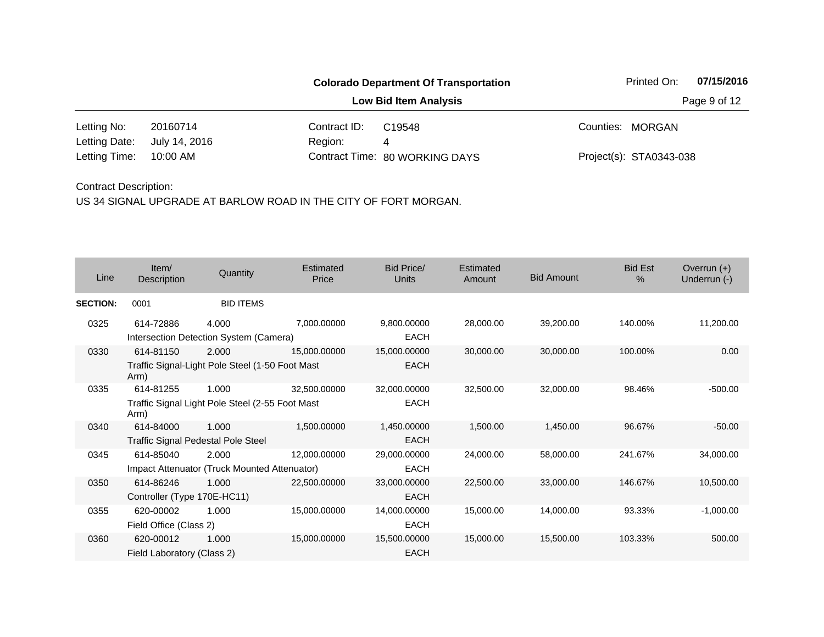|               |               |              | <b>Colorado Department Of Transportation</b> | 07/15/2016<br>Printed On: |
|---------------|---------------|--------------|----------------------------------------------|---------------------------|
|               |               |              | <b>Low Bid Item Analysis</b>                 | Page 9 of 12              |
| Letting No:   | 20160714      | Contract ID: | C <sub>19548</sub>                           | Counties: MORGAN          |
| Letting Date: | July 14, 2016 | Region:      | 4                                            |                           |
| Letting Time: | 10:00 AM      |              | Contract Time: 80 WORKING DAYS               | Project(s): STA0343-038   |

| Line            | Item/<br>Description        | Quantity                                        | <b>Estimated</b><br>Price | <b>Bid Price/</b><br>Units | Estimated<br>Amount | <b>Bid Amount</b> | <b>Bid Est</b><br>$\%$ | Overrun $(+)$<br>Underrun (-) |
|-----------------|-----------------------------|-------------------------------------------------|---------------------------|----------------------------|---------------------|-------------------|------------------------|-------------------------------|
| <b>SECTION:</b> | 0001                        | <b>BID ITEMS</b>                                |                           |                            |                     |                   |                        |                               |
| 0325            | 614-72886                   | 4.000<br>Intersection Detection System (Camera) | 7,000.00000               | 9,800.00000<br><b>EACH</b> | 28,000.00           | 39,200.00         | 140.00%                | 11,200.00                     |
| 0330            | 614-81150                   | 2.000                                           | 15,000.00000              | 15,000.00000               | 30,000.00           | 30,000.00         | 100.00%                | 0.00                          |
|                 | Arm)                        | Traffic Signal-Light Pole Steel (1-50 Foot Mast |                           | <b>EACH</b>                |                     |                   |                        |                               |
| 0335            | 614-81255                   | 1.000                                           | 32,500.00000              | 32,000.00000               | 32,500.00           | 32,000.00         | 98.46%                 | $-500.00$                     |
|                 | Arm)                        | Traffic Signal Light Pole Steel (2-55 Foot Mast |                           | <b>EACH</b>                |                     |                   |                        |                               |
| 0340            | 614-84000                   | 1.000                                           | 1,500.00000               | 1,450.00000                | 1,500.00            | 1,450.00          | 96.67%                 | $-50.00$                      |
|                 |                             | <b>Traffic Signal Pedestal Pole Steel</b>       |                           | <b>EACH</b>                |                     |                   |                        |                               |
| 0345            | 614-85040                   | 2.000                                           | 12,000.00000              | 29,000.00000               | 24,000.00           | 58,000.00         | 241.67%                | 34,000.00                     |
|                 |                             | Impact Attenuator (Truck Mounted Attenuator)    |                           | <b>EACH</b>                |                     |                   |                        |                               |
| 0350            | 614-86246                   | 1.000                                           | 22,500.00000              | 33,000.00000               | 22,500.00           | 33,000.00         | 146.67%                | 10,500.00                     |
|                 | Controller (Type 170E-HC11) |                                                 |                           | <b>EACH</b>                |                     |                   |                        |                               |
| 0355            | 620-00002                   | 1.000                                           | 15,000.00000              | 14,000.00000               | 15,000.00           | 14,000.00         | 93.33%                 | $-1,000.00$                   |
|                 | Field Office (Class 2)      |                                                 |                           | <b>EACH</b>                |                     |                   |                        |                               |
| 0360            | 620-00012                   | 1.000                                           | 15,000.00000              | 15,500.00000               | 15,000.00           | 15,500.00         | 103.33%                | 500.00                        |
|                 | Field Laboratory (Class 2)  |                                                 |                           | <b>EACH</b>                |                     |                   |                        |                               |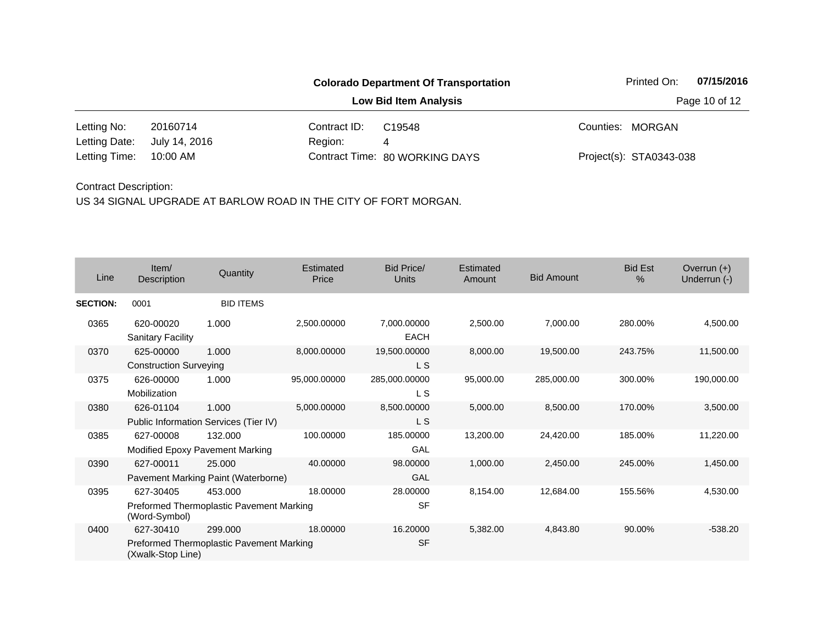#### **Colorado Department Of Transportation** Printed On: 07/15/2016 **Low Bid Item Analysis Page 10 of 12** 20160714 Contract ID: Letting No: 20160714 Contract ID: C19548 Counties: MORGAN July 14, 2016 C19548

10:00 AM Letting Date:

Region: 4 80 WORKING DAYS Letting Time: Contract Time:

Project(s): STA0343-038

#### Contract Description:

| Line            | Item/<br>Description                       | Quantity                                            | Estimated<br>Price | <b>Bid Price/</b><br><b>Units</b> | Estimated<br>Amount | <b>Bid Amount</b> | <b>Bid Est</b><br>$\frac{0}{0}$ | Overrun $(+)$<br>Underrun (-) |
|-----------------|--------------------------------------------|-----------------------------------------------------|--------------------|-----------------------------------|---------------------|-------------------|---------------------------------|-------------------------------|
| <b>SECTION:</b> | 0001                                       | <b>BID ITEMS</b>                                    |                    |                                   |                     |                   |                                 |                               |
| 0365            | 620-00020<br><b>Sanitary Facility</b>      | 1.000                                               | 2,500.00000        | 7,000.00000<br><b>EACH</b>        | 2,500.00            | 7,000.00          | 280.00%                         | 4,500.00                      |
| 0370            | 625-00000<br><b>Construction Surveying</b> | 1.000                                               | 8,000.00000        | 19,500.00000<br>L S               | 8,000.00            | 19,500.00         | 243.75%                         | 11,500.00                     |
| 0375            | 626-00000<br>Mobilization                  | 1.000                                               | 95,000.00000       | 285,000.00000<br>L S              | 95,000.00           | 285,000.00        | 300.00%                         | 190,000.00                    |
| 0380            | 626-01104                                  | 1.000<br>Public Information Services (Tier IV)      | 5,000.00000        | 8,500.00000<br>L S                | 5,000.00            | 8,500.00          | 170.00%                         | 3,500.00                      |
| 0385            | 627-00008                                  | 132.000<br>Modified Epoxy Pavement Marking          | 100.00000          | 185.00000<br>GAL                  | 13,200.00           | 24,420.00         | 185.00%                         | 11,220.00                     |
| 0390            | 627-00011                                  | 25.000<br>Pavement Marking Paint (Waterborne)       | 40.00000           | 98.00000<br>GAL                   | 1,000.00            | 2,450.00          | 245.00%                         | 1,450.00                      |
| 0395            | 627-30405<br>(Word-Symbol)                 | 453.000<br>Preformed Thermoplastic Pavement Marking | 18.00000           | 28.00000<br><b>SF</b>             | 8,154.00            | 12,684.00         | 155.56%                         | 4,530.00                      |
| 0400            | 627-30410<br>(Xwalk-Stop Line)             | 299,000<br>Preformed Thermoplastic Pavement Marking | 18.00000           | 16.20000<br><b>SF</b>             | 5,382.00            | 4,843.80          | 90.00%                          | $-538.20$                     |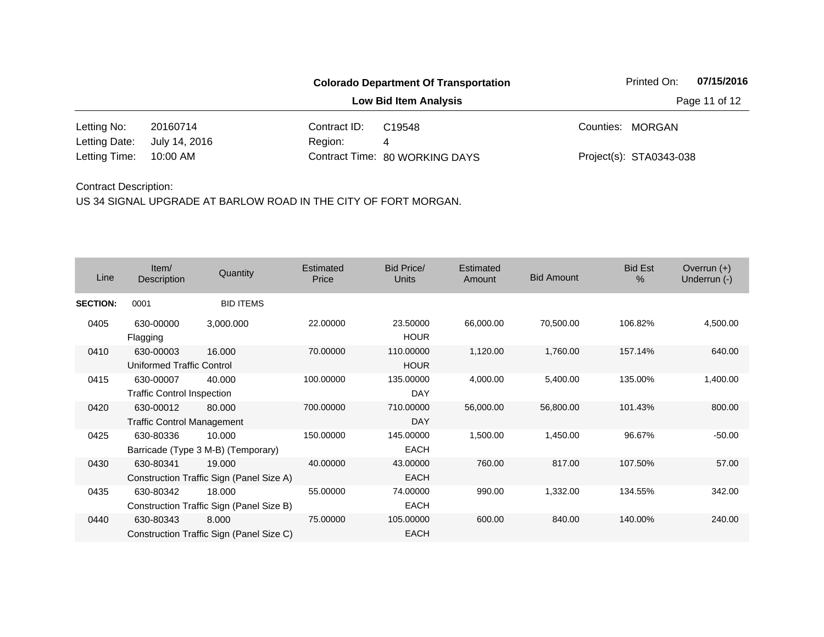**Low Bid Item Analysis Page 11 of 12** 

20160714 Contract ID: 10:00 AM Region: 4 Letting No: 20160714 Contract ID: C19548 Counties: MORGAN 80 WORKING DAYS Letting Time: Contract Time:July 14, 2016 Project(s): STA0343-038 Letting Date: C19548

#### Contract Description:

| Line            | Item/<br>Description                           | Quantity                                           | Estimated<br>Price | Bid Price/<br><b>Units</b> | Estimated<br>Amount | <b>Bid Amount</b> | <b>Bid Est</b><br>$\%$ | Overrun $(+)$<br>Underrun (-) |
|-----------------|------------------------------------------------|----------------------------------------------------|--------------------|----------------------------|---------------------|-------------------|------------------------|-------------------------------|
| <b>SECTION:</b> | 0001                                           | <b>BID ITEMS</b>                                   |                    |                            |                     |                   |                        |                               |
| 0405            | 630-00000<br>Flagging                          | 3,000.000                                          | 22.00000           | 23.50000<br><b>HOUR</b>    | 66,000.00           | 70,500.00         | 106.82%                | 4,500.00                      |
| 0410            | 630-00003<br>Uniformed Traffic Control         | 16.000                                             | 70.00000           | 110.00000<br><b>HOUR</b>   | 1,120.00            | 1,760.00          | 157.14%                | 640.00                        |
| 0415            | 630-00007<br><b>Traffic Control Inspection</b> | 40.000                                             | 100.00000          | 135.00000<br><b>DAY</b>    | 4,000.00            | 5,400.00          | 135.00%                | 1,400.00                      |
| 0420            | 630-00012<br><b>Traffic Control Management</b> | 80.000                                             | 700.00000          | 710.00000<br><b>DAY</b>    | 56,000.00           | 56,800.00         | 101.43%                | 800.00                        |
| 0425            | 630-80336                                      | 10.000<br>Barricade (Type 3 M-B) (Temporary)       | 150.00000          | 145.00000<br><b>EACH</b>   | 1,500.00            | 1,450.00          | 96.67%                 | $-50.00$                      |
| 0430            | 630-80341                                      | 19.000<br>Construction Traffic Sign (Panel Size A) | 40.00000           | 43.00000<br><b>EACH</b>    | 760.00              | 817.00            | 107.50%                | 57.00                         |
| 0435            | 630-80342                                      | 18.000<br>Construction Traffic Sign (Panel Size B) | 55.00000           | 74.00000<br><b>EACH</b>    | 990.00              | 1,332.00          | 134.55%                | 342.00                        |
| 0440            | 630-80343                                      | 8.000<br>Construction Traffic Sign (Panel Size C)  | 75.00000           | 105.00000<br><b>EACH</b>   | 600.00              | 840.00            | 140.00%                | 240.00                        |